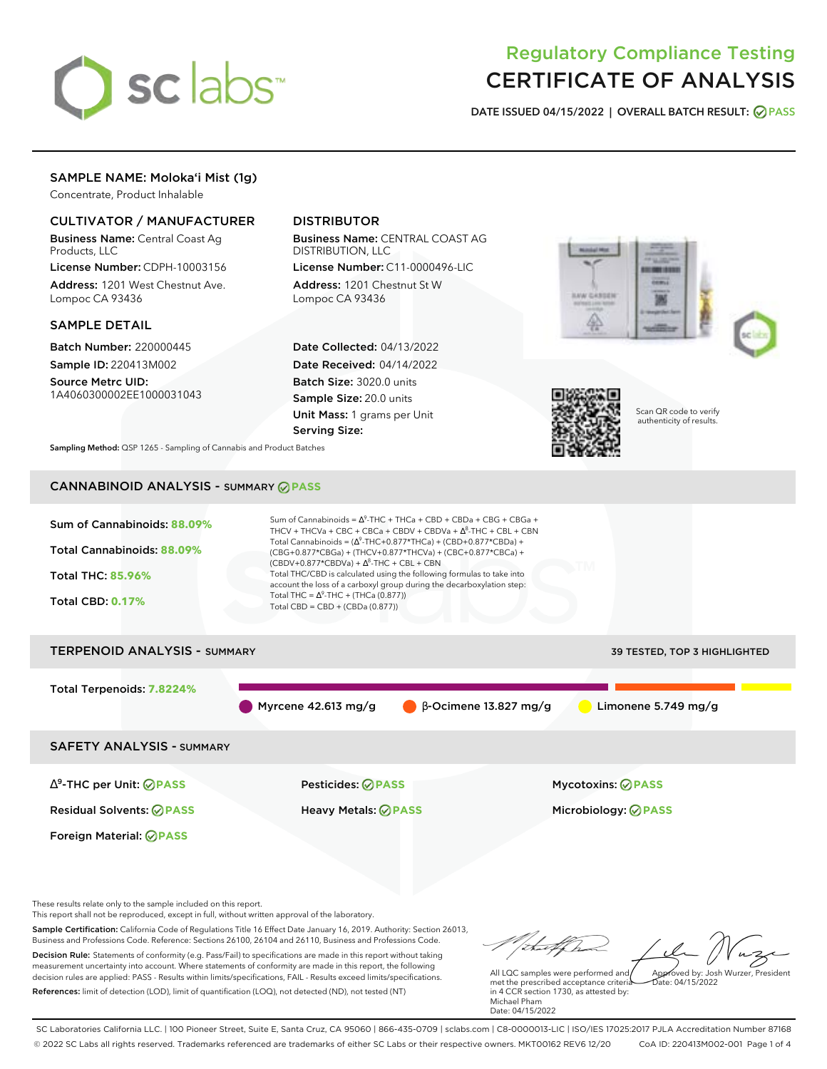

# Regulatory Compliance Testing CERTIFICATE OF ANALYSIS

**DATE ISSUED 04/15/2022 | OVERALL BATCH RESULT: PASS**

# SAMPLE NAME: Moloka'i Mist (1g)

Concentrate, Product Inhalable

# CULTIVATOR / MANUFACTURER

Business Name: Central Coast Ag Products, LLC

License Number: CDPH-10003156 Address: 1201 West Chestnut Ave. Lompoc CA 93436

### SAMPLE DETAIL

Batch Number: 220000445 Sample ID: 220413M002 Source Metrc UID: 1A4060300002EE1000031043

# DISTRIBUTOR

Business Name: CENTRAL COAST AG DISTRIBUTION, LLC License Number: C11-0000496-LIC

Address: 1201 Chestnut St W Lompoc CA 93436

Date Collected: 04/13/2022 Date Received: 04/14/2022 Batch Size: 3020.0 units Sample Size: 20.0 units Unit Mass: 1 grams per Unit Serving Size:





Scan QR code to verify authenticity of results.

**Sampling Method:** QSP 1265 - Sampling of Cannabis and Product Batches

# CANNABINOID ANALYSIS - SUMMARY **PASS**



Sample Certification: California Code of Regulations Title 16 Effect Date January 16, 2019. Authority: Section 26013, Business and Professions Code. Reference: Sections 26100, 26104 and 26110, Business and Professions Code. Decision Rule: Statements of conformity (e.g. Pass/Fail) to specifications are made in this report without taking measurement uncertainty into account. Where statements of conformity are made in this report, the following decision rules are applied: PASS - Results within limits/specifications, FAIL - Results exceed limits/specifications. References: limit of detection (LOD), limit of quantification (LOQ), not detected (ND), not tested (NT)

Approved by: Josh Wurzer, President

 $hat: 04/15/2022$ 

All LQC samples were performed and met the prescribed acceptance criteria in 4 CCR section 1730, as attested by: Michael Pham Date: 04/15/2022

SC Laboratories California LLC. | 100 Pioneer Street, Suite E, Santa Cruz, CA 95060 | 866-435-0709 | sclabs.com | C8-0000013-LIC | ISO/IES 17025:2017 PJLA Accreditation Number 87168 © 2022 SC Labs all rights reserved. Trademarks referenced are trademarks of either SC Labs or their respective owners. MKT00162 REV6 12/20 CoA ID: 220413M002-001 Page 1 of 4